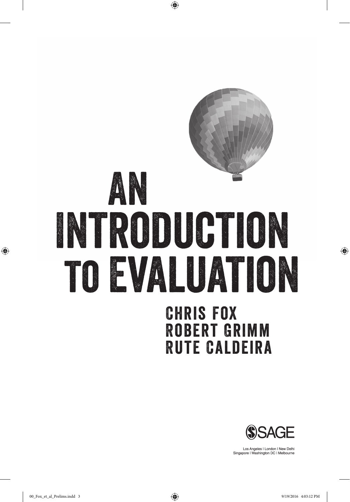



Los Angeles | London | New Delhi Singapore | Washington DC | Melbourne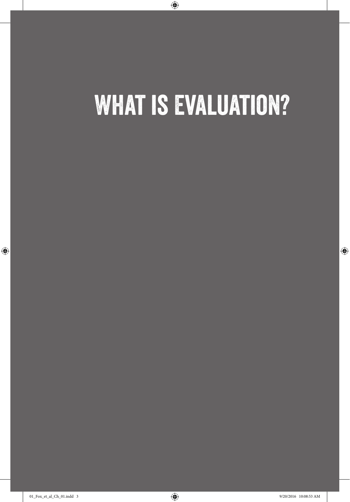⊕

 $\bigoplus$ 

 $\bigcirc$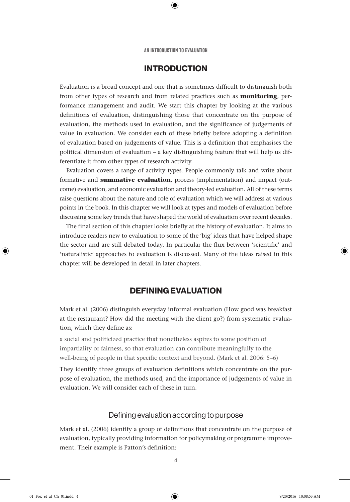⊕

# **INTRODUCTION**

Evaluation is a broad concept and one that is sometimes difficult to distinguish both from other types of research and from related practices such as **monitoring**, performance management and audit. We start this chapter by looking at the various definitions of evaluation, distinguishing those that concentrate on the purpose of evaluation, the methods used in evaluation, and the significance of judgements of value in evaluation. We consider each of these briefly before adopting a definition of evaluation based on judgements of value. This is a definition that emphasises the political dimension of evaluation – a key distinguishing feature that will help us differentiate it from other types of research activity.

Evaluation covers a range of activity types. People commonly talk and write about formative and **summative evaluation**, process (implementation) and impact (outcome) evaluation, and economic evaluation and theory-led evaluation. All of these terms raise questions about the nature and role of evaluation which we will address at various points in the book. In this chapter we will look at types and models of evaluation before discussing some key trends that have shaped the world of evaluation over recent decades.

The final section of this chapter looks briefly at the history of evaluation. It aims to introduce readers new to evaluation to some of the 'big' ideas that have helped shape the sector and are still debated today. In particular the flux between 'scientific' and 'naturalistic' approaches to evaluation is discussed. Many of the ideas raised in this chapter will be developed in detail in later chapters.

# **DEFINING EVALUATION**

Mark et al. (2006) distinguish everyday informal evaluation (How good was breakfast at the restaurant? How did the meeting with the client go?) from systematic evaluation, which they define as:

a social and politicized practice that nonetheless aspires to some position of impartiality or fairness, so that evaluation can contribute meaningfully to the well-being of people in that specific context and beyond. (Mark et al. 2006: 5–6)

They identify three groups of evaluation definitions which concentrate on the purpose of evaluation, the methods used, and the importance of judgements of value in evaluation. We will consider each of these in turn.

# Defining evaluation according to purpose

Mark et al. (2006) identify a group of definitions that concentrate on the purpose of evaluation, typically providing information for policymaking or programme improvement. Their example is Patton's definition:

◈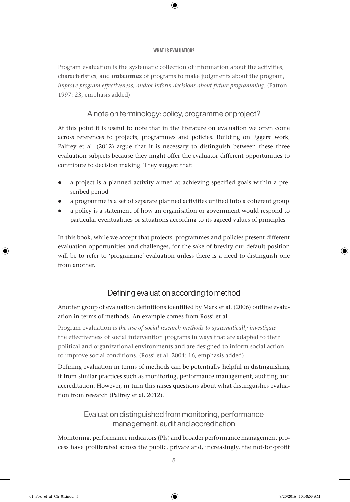⊕

Program evaluation is the systematic collection of information about the activities, characteristics, and **outcomes** of programs to make judgments about the program, *improve program effectiveness, and/or inform decisions about future programming*. (Patton 1997: 23, emphasis added)

# A note on terminology: policy, programme or project?

At this point it is useful to note that in the literature on evaluation we often come across references to projects, programmes and policies. Building on Eggers' work, Palfrey et al. (2012) argue that it is necessary to distinguish between these three evaluation subjects because they might offer the evaluator different opportunities to contribute to decision making. They suggest that:

- a project is a planned activity aimed at achieving specified goals within a prescribed period
- z a programme is a set of separate planned activities unified into a coherent group
- z a policy is a statement of how an organisation or government would respond to particular eventualities or situations according to its agreed values of principles

In this book, while we accept that projects, programmes and policies present different evaluation opportunities and challenges, for the sake of brevity our default position will be to refer to 'programme' evaluation unless there is a need to distinguish one from another.

# Defining evaluation according to method

Another group of evaluation definitions identified by Mark et al. (2006) outline evaluation in terms of methods. An example comes from Rossi et al.:

Program evaluation is *the use of social research methods to systematically investigate*  the effectiveness of social intervention programs in ways that are adapted to their political and organizational environments and are designed to inform social action to improve social conditions. (Rossi et al. 2004: 16, emphasis added)

Defining evaluation in terms of methods can be potentially helpful in distinguishing it from similar practices such as monitoring, performance management, auditing and accreditation. However, in turn this raises questions about what distinguishes evaluation from research (Palfrey et al. 2012).

> Evaluation distinguished from monitoring, performance management, audit and accreditation

Monitoring, performance indicators (PIs) and broader performance management process have proliferated across the public, private and, increasingly, the not-for-profit

◈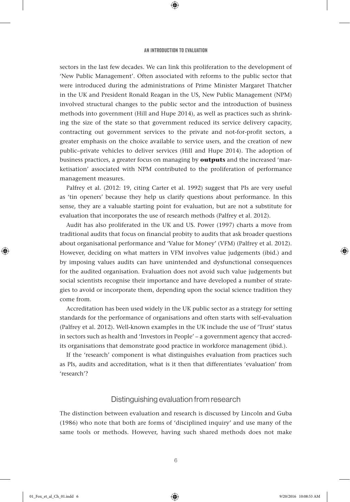⊕

sectors in the last few decades. We can link this proliferation to the development of 'New Public Management'. Often associated with reforms to the public sector that were introduced during the administrations of Prime Minister Margaret Thatcher in the UK and President Ronald Reagan in the US, New Public Management (NPM) involved structural changes to the public sector and the introduction of business methods into government (Hill and Hupe 2014), as well as practices such as shrinking the size of the state so that government reduced its service delivery capacity, contracting out government services to the private and not-for-profit sectors, a greater emphasis on the choice available to service users, and the creation of new public–private vehicles to deliver services (Hill and Hupe 2014). The adoption of business practices, a greater focus on managing by **outputs** and the increased 'marketisation' associated with NPM contributed to the proliferation of performance management measures.

Palfrey et al. (2012: 19, citing Carter et al. 1992) suggest that PIs are very useful as 'tin openers' because they help us clarify questions about performance. In this sense, they are a valuable starting point for evaluation, but are not a substitute for evaluation that incorporates the use of research methods (Palfrey et al. 2012).

Audit has also proliferated in the UK and US. Power (1997) charts a move from traditional audits that focus on financial probity to audits that ask broader questions about organisational performance and 'Value for Money' (VFM) (Palfrey et al. 2012). However, deciding on what matters in VFM involves value judgements (ibid.) and by imposing values audits can have unintended and dysfunctional consequences for the audited organisation. Evaluation does not avoid such value judgements but social scientists recognise their importance and have developed a number of strategies to avoid or incorporate them, depending upon the social science tradition they come from.

Accreditation has been used widely in the UK public sector as a strategy for setting standards for the performance of organisations and often starts with self-evaluation (Palfrey et al. 2012). Well-known examples in the UK include the use of 'Trust' status in sectors such as health and 'Investors in People' – a government agency that accredits organisations that demonstrate good practice in workforce management (ibid.).

If the 'research' component is what distinguishes evaluation from practices such as PIs, audits and accreditation, what is it then that differentiates 'evaluation' from 'research'?

# Distinguishing evaluation from research

The distinction between evaluation and research is discussed by Lincoln and Guba (1986) who note that both are forms of 'disciplined inquiry' and use many of the same tools or methods. However, having such shared methods does not make

◈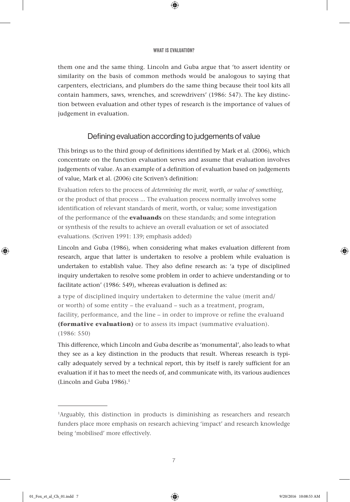⊕

them one and the same thing. Lincoln and Guba argue that 'to assert identity or similarity on the basis of common methods would be analogous to saying that carpenters, electricians, and plumbers do the same thing because their tool kits all contain hammers, saws, wrenches, and screwdrivers' (1986: 547). The key distinction between evaluation and other types of research is the importance of values of judgement in evaluation.

# Defining evaluation according to judgements of value

This brings us to the third group of definitions identified by Mark et al. (2006), which concentrate on the function evaluation serves and assume that evaluation involves judgements of value. As an example of a definition of evaluation based on judgements of value, Mark et al. (2006) cite Scriven's definition:

Evaluation refers to the process of *determining the merit, worth, or value of something*, or the product of that process ... The evaluation process normally involves some identification of relevant standards of merit, worth, or value; some investigation of the performance of the **evaluands** on these standards; and some integration or synthesis of the results to achieve an overall evaluation or set of associated evaluations. (Scriven 1991: 139; emphasis added)

Lincoln and Guba (1986), when considering what makes evaluation different from research, argue that latter is undertaken to resolve a problem while evaluation is undertaken to establish value. They also define research as: 'a type of disciplined inquiry undertaken to resolve some problem in order to achieve understanding or to facilitate action' (1986: 549), whereas evaluation is defined as:

a type of disciplined inquiry undertaken to determine the value (merit and/ or worth) of some entity – the evaluand – such as a treatment, program, facility, performance, and the line – in order to improve or refine the evaluand **(formative evaluation)** or to assess its impact (summative evaluation). (1986: 550)

This difference, which Lincoln and Guba describe as 'monumental', also leads to what they see as a key distinction in the products that result. Whereas research is typically adequately served by a technical report, this by itself is rarely sufficient for an evaluation if it has to meet the needs of, and communicate with, its various audiences (Lincoln and Guba 1986).1

◈

<sup>&</sup>lt;sup>1</sup>Arguably, this distinction in products is diminishing as researchers and research funders place more emphasis on research achieving 'impact' and research knowledge being 'mobilised' more effectively.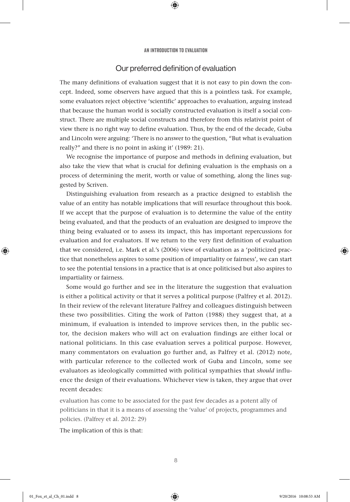⊕

## Our preferred definition of evaluation

The many definitions of evaluation suggest that it is not easy to pin down the concept. Indeed, some observers have argued that this is a pointless task. For example, some evaluators reject objective 'scientific' approaches to evaluation, arguing instead that because the human world is socially constructed evaluation is itself a social construct. There are multiple social constructs and therefore from this relativist point of view there is no right way to define evaluation. Thus, by the end of the decade, Guba and Lincoln were arguing: 'There is no answer to the question, "But what is evaluation really?" and there is no point in asking it' (1989: 21).

We recognise the importance of purpose and methods in defining evaluation, but also take the view that what is crucial for defining evaluation is the emphasis on a process of determining the merit, worth or value of something, along the lines suggested by Scriven.

Distinguishing evaluation from research as a practice designed to establish the value of an entity has notable implications that will resurface throughout this book. If we accept that the purpose of evaluation is to determine the value of the entity being evaluated, and that the products of an evaluation are designed to improve the thing being evaluated or to assess its impact, this has important repercussions for evaluation and for evaluators. If we return to the very first definition of evaluation that we considered, i.e. Mark et al.'s (2006) view of evaluation as a 'politicized practice that nonetheless aspires to some position of impartiality or fairness', we can start to see the potential tensions in a practice that is at once politicised but also aspires to impartiality or fairness.

Some would go further and see in the literature the suggestion that evaluation is either a political activity or that it serves a political purpose (Palfrey et al. 2012). In their review of the relevant literature Palfrey and colleagues distinguish between these two possibilities. Citing the work of Patton (1988) they suggest that, at a minimum, if evaluation is intended to improve services then, in the public sector, the decision makers who will act on evaluation findings are either local or national politicians. In this case evaluation serves a political purpose. However, many commentators on evaluation go further and, as Palfrey et al. (2012) note, with particular reference to the collected work of Guba and Lincoln, some see evaluators as ideologically committed with political sympathies that *should* influence the design of their evaluations. Whichever view is taken, they argue that over recent decades:

evaluation has come to be associated for the past few decades as a potent ally of politicians in that it is a means of assessing the 'value' of projects, programmes and policies. (Palfrey et al. 2012: 29)

The implication of this is that:

◈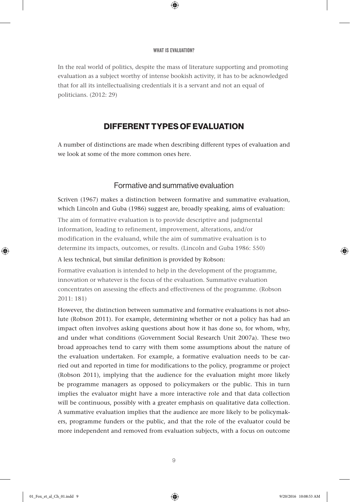⊕

In the real world of politics, despite the mass of literature supporting and promoting evaluation as a subject worthy of intense bookish activity, it has to be acknowledged that for all its intellectualising credentials it is a servant and not an equal of politicians. (2012: 29)

# **DIFFERENT TYPES OF EVALUATION**

A number of distinctions are made when describing different types of evaluation and we look at some of the more common ones here.

# Formative and summative evaluation

Scriven (1967) makes a distinction between formative and summative evaluation, which Lincoln and Guba (1986) suggest are, broadly speaking, aims of evaluation:

The aim of formative evaluation is to provide descriptive and judgmental information, leading to refinement, improvement, alterations, and/or modification in the evaluand, while the aim of summative evaluation is to determine its impacts, outcomes, or results. (Lincoln and Guba 1986: 550)

A less technical, but similar definition is provided by Robson:

Formative evaluation is intended to help in the development of the programme, innovation or whatever is the focus of the evaluation. Summative evaluation concentrates on assessing the effects and effectiveness of the programme. (Robson 2011: 181)

However, the distinction between summative and formative evaluations is not absolute (Robson 2011). For example, determining whether or not a policy has had an impact often involves asking questions about how it has done so, for whom, why, and under what conditions (Government Social Research Unit 2007a). These two broad approaches tend to carry with them some assumptions about the nature of the evaluation undertaken. For example, a formative evaluation needs to be carried out and reported in time for modifications to the policy, programme or project (Robson 2011), implying that the audience for the evaluation might more likely be programme managers as opposed to policymakers or the public. This in turn implies the evaluator might have a more interactive role and that data collection will be continuous, possibly with a greater emphasis on qualitative data collection. A summative evaluation implies that the audience are more likely to be policymakers, programme funders or the public, and that the role of the evaluator could be more independent and removed from evaluation subjects, with a focus on outcome

◈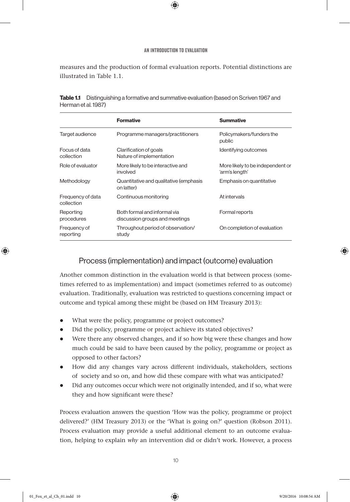⊕

measures and the production of formal evaluation reports. Potential distinctions are illustrated in Table 1.1.

|                                 | <b>Formative</b>                                               | <b>Summative</b>                                   |
|---------------------------------|----------------------------------------------------------------|----------------------------------------------------|
| Target audience                 | Programme managers/practitioners                               | Policymakers/funders the<br>public                 |
| Focus of data<br>collection     | Clarification of goals<br>Nature of implementation             | Identifying outcomes                               |
| Role of evaluator               | More likely to be interactive and<br>involved                  | More likely to be independent or<br>'arm's length' |
| Methodology                     | Quantitative and qualitative (emphasis<br>on latter)           | Emphasis on quantitative                           |
| Frequency of data<br>collection | Continuous monitoring                                          | At intervals                                       |
| Reporting<br>procedures         | Both formal and informal via<br>discussion groups and meetings | Formal reports                                     |
| Frequency of<br>reporting       | Throughout period of observation/<br>study                     | On completion of evaluation                        |

**Table 1.1** Distinguishing a formative and summative evaluation (based on Scriven 1967 and Herman et al. 1987)

## Process (implementation) and impact (outcome) evaluation

Another common distinction in the evaluation world is that between process (sometimes referred to as implementation) and impact (sometimes referred to as outcome) evaluation. Traditionally, evaluation was restricted to questions concerning impact or outcome and typical among these might be (based on HM Treasury 2013):

- What were the policy, programme or project outcomes?
- Did the policy, programme or project achieve its stated objectives?
- Were there any observed changes, and if so how big were these changes and how much could be said to have been caused by the policy, programme or project as opposed to other factors?
- How did any changes vary across different individuals, stakeholders, sections of society and so on, and how did these compare with what was anticipated?
- Did any outcomes occur which were not originally intended, and if so, what were they and how significant were these?

Process evaluation answers the question 'How was the policy, programme or project delivered?' (HM Treasury 2013) or the 'What is going on?' question (Robson 2011). Process evaluation may provide a useful additional element to an outcome evaluation, helping to explain *why* an intervention did or didn't work. However, a process

◈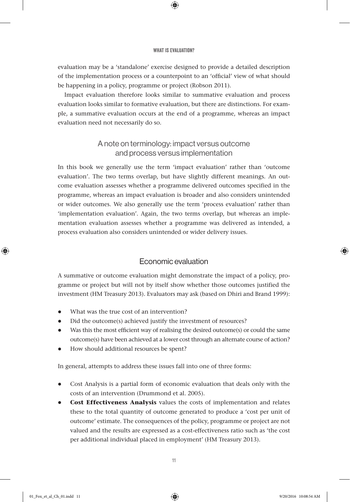⊕

evaluation may be a 'standalone' exercise designed to provide a detailed description of the implementation process or a counterpoint to an 'official' view of what should be happening in a policy, programme or project (Robson 2011).

Impact evaluation therefore looks similar to summative evaluation and process evaluation looks similar to formative evaluation, but there are distinctions. For example, a summative evaluation occurs at the end of a programme, whereas an impact evaluation need not necessarily do so.

# A note on terminology: impact versus outcome and process versus implementation

In this book we generally use the term 'impact evaluation' rather than 'outcome evaluation'. The two terms overlap, but have slightly different meanings. An outcome evaluation assesses whether a programme delivered outcomes specified in the programme, whereas an impact evaluation is broader and also considers unintended or wider outcomes. We also generally use the term 'process evaluation' rather than 'implementation evaluation'. Again, the two terms overlap, but whereas an implementation evaluation assesses whether a programme was delivered as intended, a process evaluation also considers unintended or wider delivery issues.

# Economic evaluation

A summative or outcome evaluation might demonstrate the impact of a policy, programme or project but will not by itself show whether those outcomes justified the investment (HM Treasury 2013). Evaluators may ask (based on Dhiri and Brand 1999):

- What was the true cost of an intervention?
- Did the outcome(s) achieved justify the investment of resources?
- Was this the most efficient way of realising the desired outcome(s) or could the same outcome(s) have been achieved at a lower cost through an alternate course of action?
- How should additional resources be spent?

In general, attempts to address these issues fall into one of three forms:

- Cost Analysis is a partial form of economic evaluation that deals only with the costs of an intervention (Drummond et al. 2005).
- Cost Effectiveness Analysis values the costs of implementation and relates these to the total quantity of outcome generated to produce a 'cost per unit of outcome' estimate. The consequences of the policy, programme or project are not valued and the results are expressed as a cost-effectiveness ratio such as 'the cost per additional individual placed in employment' (HM Treasury 2013).

◈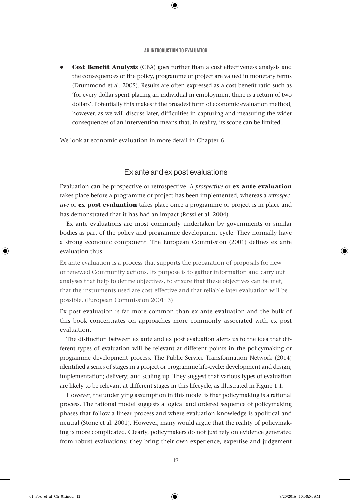⊕

**Cost Benefit Analysis** (CBA) goes further than a cost effectiveness analysis and the consequences of the policy, programme or project are valued in monetary terms (Drummond et al. 2005). Results are often expressed as a cost-benefit ratio such as 'for every dollar spent placing an individual in employment there is a return of two dollars'. Potentially this makes it the broadest form of economic evaluation method, however, as we will discuss later, difficulties in capturing and measuring the wider consequences of an intervention means that, in reality, its scope can be limited.

We look at economic evaluation in more detail in Chapter 6.

# Ex ante and ex post evaluations

Evaluation can be prospective or retrospective. A *prospective* or **ex ante evaluation**  takes place before a programme or project has been implemented, whereas a *retrospective* or **ex post evaluation** takes place once a programme or project is in place and has demonstrated that it has had an impact (Rossi et al. 2004).

Ex ante evaluations are most commonly undertaken by governments or similar bodies as part of the policy and programme development cycle. They normally have a strong economic component. The European Commission (2001) defines ex ante evaluation thus:

Ex ante evaluation is a process that supports the preparation of proposals for new or renewed Community actions. Its purpose is to gather information and carry out analyses that help to define objectives, to ensure that these objectives can be met, that the instruments used are cost-effective and that reliable later evaluation will be possible. (European Commission 2001: 3)

Ex post evaluation is far more common than ex ante evaluation and the bulk of this book concentrates on approaches more commonly associated with ex post evaluation.

The distinction between ex ante and ex post evaluation alerts us to the idea that different types of evaluation will be relevant at different points in the policymaking or programme development process. The Public Service Transformation Network (2014) identified a series of stages in a project or programme life-cycle: development and design; implementation; delivery; and scaling-up. They suggest that various types of evaluation are likely to be relevant at different stages in this lifecycle, as illustrated in Figure 1.1.

However, the underlying assumption in this model is that policymaking is a rational process. The rational model suggests a logical and ordered sequence of policymaking phases that follow a linear process and where evaluation knowledge is apolitical and neutral (Stone et al. 2001). However, many would argue that the reality of policymaking is more complicated. Clearly, policymakers do not just rely on evidence generated from robust evaluations: they bring their own experience, expertise and judgement

◈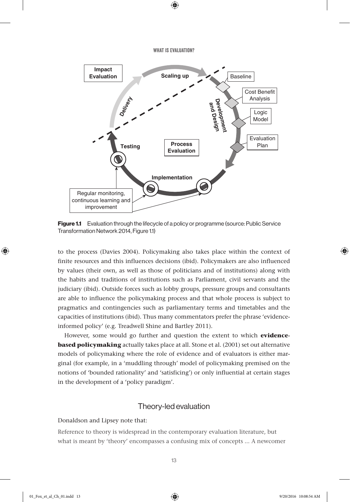⊕



**Figure 1.1** Evaluation through the lifecycle of a policy or programme (source: Public Service Transformation Network 2014, Figure 1.1)

to the process (Davies 2004). Policymaking also takes place within the context of finite resources and this influences decisions (ibid). Policymakers are also influenced by values (their own, as well as those of politicians and of institutions) along with the habits and traditions of institutions such as Parliament, civil servants and the judiciary (ibid). Outside forces such as lobby groups, pressure groups and consultants are able to influence the policymaking process and that whole process is subject to pragmatics and contingencies such as parliamentary terms and timetables and the capacities of institutions (ibid). Thus many commentators prefer the phrase 'evidenceinformed policy' (e.g. Treadwell Shine and Bartley 2011).

However, some would go further and question the extent to which **evidencebased policymaking** actually takes place at all. Stone et al. (2001) set out alternative models of policymaking where the role of evidence and of evaluators is either marginal (for example, in a 'muddling through' model of policymaking premised on the notions of 'bounded rationality' and 'satisficing') or only influential at certain stages in the development of a 'policy paradigm'.

# Theory-led evaluation

#### Donaldson and Lipsey note that:

Reference to theory is widespread in the contemporary evaluation literature, but what is meant by 'theory' encompasses a confusing mix of concepts ... A newcomer

◈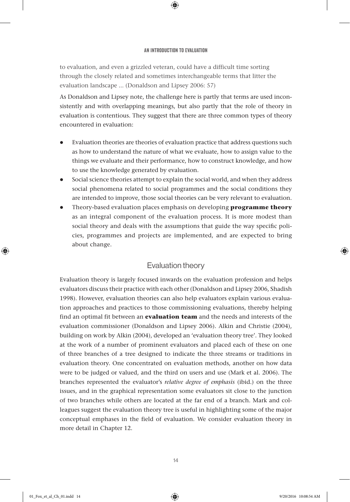⊕

to evaluation, and even a grizzled veteran, could have a difficult time sorting through the closely related and sometimes interchangeable terms that litter the evaluation landscape ... (Donaldson and Lipsey 2006: 57)

As Donaldson and Lipsey note, the challenge here is partly that terms are used inconsistently and with overlapping meanings, but also partly that the role of theory in evaluation is contentious. They suggest that there are three common types of theory encountered in evaluation:

- Evaluation theories are theories of evaluation practice that address questions such as how to understand the nature of what we evaluate, how to assign value to the things we evaluate and their performance, how to construct knowledge, and how to use the knowledge generated by evaluation.
- Social science theories attempt to explain the social world, and when they address social phenomena related to social programmes and the social conditions they are intended to improve, those social theories can be very relevant to evaluation.
- z Theory-based evaluation places emphasis on developing **programme theory** as an integral component of the evaluation process. It is more modest than social theory and deals with the assumptions that guide the way specific policies, programmes and projects are implemented, and are expected to bring about change.

# Evaluation theory

Evaluation theory is largely focused inwards on the evaluation profession and helps evaluators discuss their practice with each other (Donaldson and Lipsey 2006, Shadish 1998). However, evaluation theories can also help evaluators explain various evaluation approaches and practices to those commissioning evaluations, thereby helping find an optimal fit between an **evaluation team** and the needs and interests of the evaluation commissioner (Donaldson and Lipsey 2006). Alkin and Christie (2004), building on work by Alkin (2004), developed an 'evaluation theory tree'. They looked at the work of a number of prominent evaluators and placed each of these on one of three branches of a tree designed to indicate the three streams or traditions in evaluation theory. One concentrated on evaluation methods, another on how data were to be judged or valued, and the third on users and use (Mark et al. 2006). The branches represented the evaluator's *relative degree of emphasis* (ibid.) on the three issues, and in the graphical representation some evaluators sit close to the junction of two branches while others are located at the far end of a branch. Mark and colleagues suggest the evaluation theory tree is useful in highlighting some of the major conceptual emphases in the field of evaluation. We consider evaluation theory in more detail in Chapter 12.

◈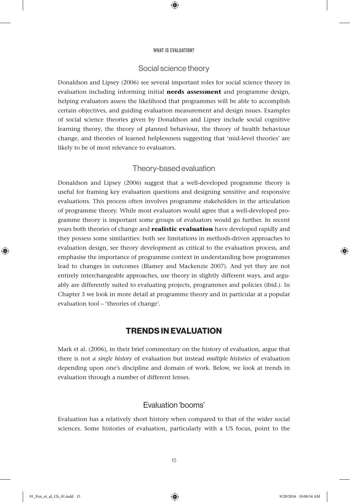⊕

## Social science theory

Donaldson and Lipsey (2006) see several important roles for social science theory in evaluation including informing initial **needs assessment** and programme design, helping evaluators assess the likelihood that programmes will be able to accomplish certain objectives, and guiding evaluation measurement and design issues. Examples of social science theories given by Donaldson and Lipsey include social cognitive learning theory, the theory of planned behaviour, the theory of health behaviour change, and theories of learned helplessness suggesting that 'mid-level theories' are likely to be of most relevance to evaluators.

## Theory-based evaluation

Donaldson and Lipsey (2006) suggest that a well-developed programme theory is useful for framing key evaluation questions and designing sensitive and responsive evaluations. This process often involves programme stakeholders in the articulation of programme theory. While most evaluators would agree that a well-developed programme theory is important some groups of evaluators would go further. In recent years both theories of change and **realistic evaluation** have developed rapidly and they possess some similarities: both see limitations in methods-driven approaches to evaluation design, see theory development as critical to the evaluation process, and emphasise the importance of programme context in understanding how programmes lead to changes in outcomes (Blamey and Mackenzie 2007). And yet they are not entirely interchangeable approaches, use theory in slightly different ways, and arguably are differently suited to evaluating projects, programmes and policies (ibid.). In Chapter 3 we look in more detail at programme theory and in particular at a popular evaluation tool – 'theories of change'.

# **TRENDS IN EVALUATION**

Mark et al. (2006), in their brief commentary on the history of evaluation, argue that there is not *a single history* of evaluation but instead *multiple histories* of evaluation depending upon one's discipline and domain of work. Below, we look at trends in evaluation through a number of different lenses.

# Evaluation 'booms'

Evaluation has a relatively short history when compared to that of the wider social sciences. Some histories of evaluation, particularly with a US focus, point to the

◈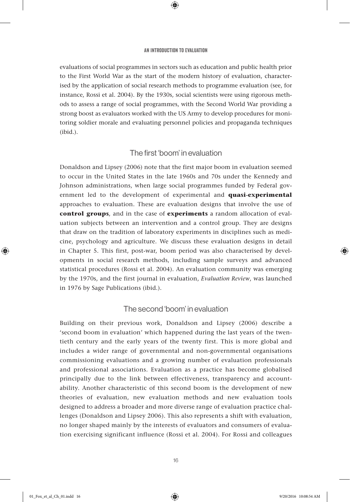⊕

evaluations of social programmes in sectors such as education and public health prior to the First World War as the start of the modern history of evaluation, characterised by the application of social research methods to programme evaluation (see, for instance, Rossi et al. 2004). By the 1930s, social scientists were using rigorous methods to assess a range of social programmes, with the Second World War providing a strong boost as evaluators worked with the US Army to develop procedures for monitoring soldier morale and evaluating personnel policies and propaganda techniques (ibid.).

## The first 'boom' in evaluation

Donaldson and Lipsey (2006) note that the first major boom in evaluation seemed to occur in the United States in the late 1960s and 70s under the Kennedy and Johnson administrations, when large social programmes funded by Federal government led to the development of experimental and **quasi-experimental** approaches to evaluation. These are evaluation designs that involve the use of **control groups**, and in the case of **experiments** a random allocation of evaluation subjects between an intervention and a control group. They are designs that draw on the tradition of laboratory experiments in disciplines such as medicine, psychology and agriculture. We discuss these evaluation designs in detail in Chapter 5. This first, post-war, boom period was also characterised by developments in social research methods, including sample surveys and advanced statistical procedures (Rossi et al. 2004). An evaluation community was emerging by the 1970s, and the first journal in evaluation, *Evaluation Review*, was launched in 1976 by Sage Publications (ibid.).

# The second 'boom' in evaluation

Building on their previous work, Donaldson and Lipsey (2006) describe a 'second boom in evaluation' which happened during the last years of the twentieth century and the early years of the twenty first. This is more global and includes a wider range of governmental and non-governmental organisations commissioning evaluations and a growing number of evaluation professionals and professional associations. Evaluation as a practice has become globalised principally due to the link between effectiveness, transparency and accountability. Another characteristic of this second boom is the development of new theories of evaluation, new evaluation methods and new evaluation tools designed to address a broader and more diverse range of evaluation practice challenges (Donaldson and Lipsey 2006). This also represents a shift with evaluation, no longer shaped mainly by the interests of evaluators and consumers of evaluation exercising significant influence (Rossi et al. 2004). For Rossi and colleagues

◈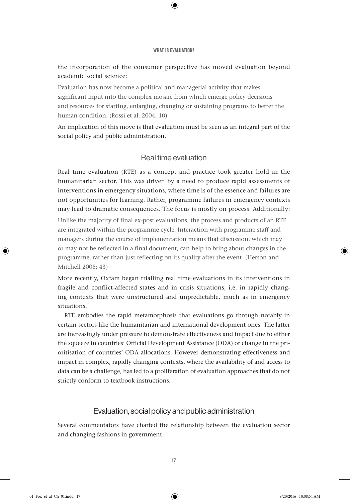⊕

# the incorporation of the consumer perspective has moved evaluation beyond academic social science:

Evaluation has now become a political and managerial activity that makes significant input into the complex mosaic from which emerge policy decisions and resources for starting, enlarging, changing or sustaining programs to better the human condition. (Rossi et al. 2004: 10)

An implication of this move is that evaluation must be seen as an integral part of the social policy and public administration.

# Real time evaluation

Real time evaluation (RTE) as a concept and practice took greater hold in the humanitarian sector. This was driven by a need to produce rapid assessments of interventions in emergency situations, where time is of the essence and failures are not opportunities for learning. Rather, programme failures in emergency contexts may lead to dramatic consequences. The focus is mostly on process. Additionally:

Unlike the majority of final ex-post evaluations, the process and products of an RTE are integrated within the programme cycle. Interaction with programme staff and managers during the course of implementation means that discussion, which may or may not be reflected in a final document, can help to bring about changes in the programme, rather than just reflecting on its quality after the event. (Herson and Mitchell 2005: 43)

More recently, Oxfam began trialling real time evaluations in its interventions in fragile and conflict-affected states and in crisis situations, i.e. in rapidly changing contexts that were unstructured and unpredictable, much as in emergency situations.

RTE embodies the rapid metamorphosis that evaluations go through notably in certain sectors like the humanitarian and international development ones. The latter are increasingly under pressure to demonstrate effectiveness and impact due to either the squeeze in countries' Official Development Assistance (ODA) or change in the prioritisation of countries' ODA allocations. However demonstrating effectiveness and impact in complex, rapidly changing contexts, where the availability of and access to data can be a challenge, has led to a proliferation of evaluation approaches that do not strictly conform to textbook instructions.

### Evaluation, social policy and public administration

Several commentators have charted the relationship between the evaluation sector and changing fashions in government.

◈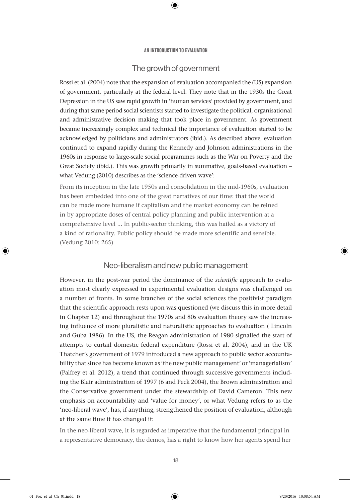⊕

## The growth of government

Rossi et al. (2004) note that the expansion of evaluation accompanied the (US) expansion of government, particularly at the federal level. They note that in the 1930s the Great Depression in the US saw rapid growth in 'human services' provided by government, and during that same period social scientists started to investigate the political, organisational and administrative decision making that took place in government. As government became increasingly complex and technical the importance of evaluation started to be acknowledged by politicians and administrators (ibid.). As described above, evaluation continued to expand rapidly during the Kennedy and Johnson administrations in the 1960s in response to large-scale social programmes such as the War on Poverty and the Great Society (ibid.). This was growth primarily in summative, goals-based evaluation – what Vedung (2010) describes as the 'science-driven wave':

From its inception in the late 1950s and consolidation in the mid-1960s, evaluation has been embedded into one of the great narratives of our time: that the world can be made more humane if capitalism and the market economy can be reined in by appropriate doses of central policy planning and public intervention at a comprehensive level ... In public-sector thinking, this was hailed as a victory of a kind of rationality. Public policy should be made more scientific and sensible. (Vedung 2010: 265)

## Neo-liberalism and new public management

However, in the post-war period the dominance of the *scientific* approach to evaluation most clearly expressed in experimental evaluation designs was challenged on a number of fronts. In some branches of the social sciences the positivist paradigm that the scientific approach rests upon was questioned (we discuss this in more detail in Chapter 12) and throughout the 1970s and 80s evaluation theory saw the increasing influence of more pluralistic and naturalistic approaches to evaluation ( Lincoln and Guba 1986). In the US, the Reagan administration of 1980 signalled the start of attempts to curtail domestic federal expenditure (Rossi et al. 2004), and in the UK Thatcher's government of 1979 introduced a new approach to public sector accountability that since has become known as 'the new public management' or 'managerialism' (Palfrey et al. 2012), a trend that continued through successive governments including the Blair administration of 1997 (6 and Peck 2004), the Brown administration and the Conservative government under the stewardship of David Cameron. This new emphasis on accountability and 'value for money', or what Vedung refers to as the 'neo-liberal wave', has, if anything, strengthened the position of evaluation, although at the same time it has changed it:

In the neo-liberal wave, it is regarded as imperative that the fundamental principal in a representative democracy, the demos, has a right to know how her agents spend her

◈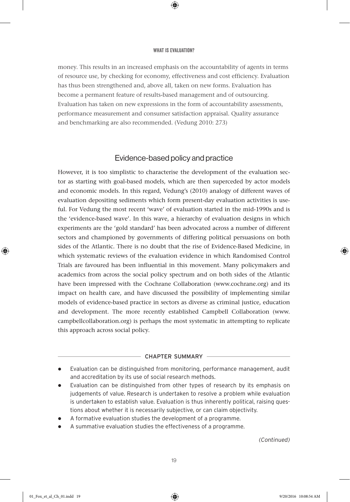⊕

money. This results in an increased emphasis on the accountability of agents in terms of resource use, by checking for economy, effectiveness and cost efficiency. Evaluation has thus been strengthened and, above all, taken on new forms. Evaluation has become a permanent feature of results-based management and of outsourcing. Evaluation has taken on new expressions in the form of accountability assessments, performance measurement and consumer satisfaction appraisal. Quality assurance and benchmarking are also recommended. (Vedung 2010: 273)

# Evidence-based policy and practice

However, it is too simplistic to characterise the development of the evaluation sector as starting with goal-based models, which are then superceded by actor models and economic models. In this regard, Vedung's (2010) analogy of different waves of evaluation depositing sediments which form present-day evaluation activities is useful. For Vedung the most recent 'wave' of evaluation started in the mid-1990s and is the 'evidence-based wave'. In this wave, a hierarchy of evaluation designs in which experiments are the 'gold standard' has been advocated across a number of different sectors and championed by governments of differing political persuasions on both sides of the Atlantic. There is no doubt that the rise of Evidence-Based Medicine, in which systematic reviews of the evaluation evidence in which Randomised Control Trials are favoured has been influential in this movement. Many policymakers and academics from across the social policy spectrum and on both sides of the Atlantic have been impressed with the Cochrane Collaboration (www.cochrane.org) and its impact on health care, and have discussed the possibility of implementing similar models of evidence-based practice in sectors as diverse as criminal justice, education and development. The more recently established Campbell Collaboration (www. campbellcollaboration.org) is perhaps the most systematic in attempting to replicate this approach across social policy.

#### $-$  CHAPTER SUMMARY  $-$

- Evaluation can be distinguished from monitoring, performance management, audit and accreditation by its use of social research methods.
- Evaluation can be distinguished from other types of research by its emphasis on judgements of value. Research is undertaken to resolve a problem while evaluation is undertaken to establish value. Evaluation is thus inherently political, raising questions about whether it is necessarily subjective, or can claim objectivity.
- A formative evaluation studies the development of a programme.
- A summative evaluation studies the effectiveness of a programme.

*(Continued)*

◈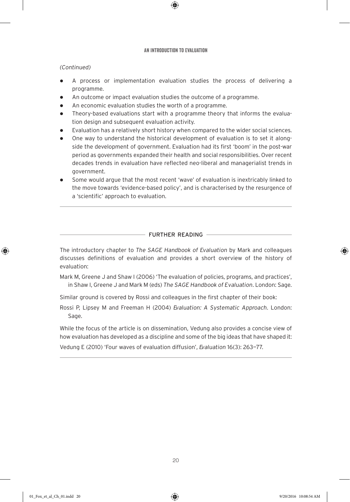⊕

#### *(Continued)*

- A process or implementation evaluation studies the process of delivering a programme.
- An outcome or impact evaluation studies the outcome of a programme.
- An economic evaluation studies the worth of a programme.
- Theory-based evaluations start with a programme theory that informs the evaluation design and subsequent evaluation activity.
- Evaluation has a relatively short history when compared to the wider social sciences.
- One way to understand the historical development of evaluation is to set it alongside the development of government. Evaluation had its first 'boom' in the post-war period as governments expanded their health and social responsibilities. Over recent decades trends in evaluation have reflected neo-liberal and managerialist trends in government.
- Some would argue that the most recent 'wave' of evaluation is inextricably linked to the move towards 'evidence-based policy', and is characterised by the resurgence of a 'scientific' approach to evaluation.

#### $-$  FURTHER READING  $-$

The introductory chapter to *The SAGE Handbook of Evaluation* by Mark and colleagues discusses definitions of evaluation and provides a short overview of the history of evaluation:

Mark M, Greene J and Shaw I (2006) 'The evaluation of policies, programs, and practices', in Shaw I, Greene J and Mark M (eds) *The SAGE Handbook of Evaluation.* London: Sage.

Similar ground is covered by Rossi and colleagues in the first chapter of their book:

Rossi P, Lipsey M and Freeman H (2004) *Evaluation: A Systematic Approach.* London: Sage.

While the focus of the article is on dissemination, Vedung also provides a concise view of how evaluation has developed as a discipline and some of the big ideas that have shaped it: Vedung E (2010) 'Four waves of evaluation diffusion', *Evaluation* 16(3): 263—77.

◈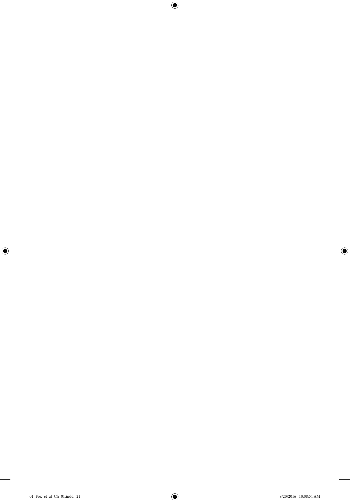

 $\overline{\phantom{a}}$